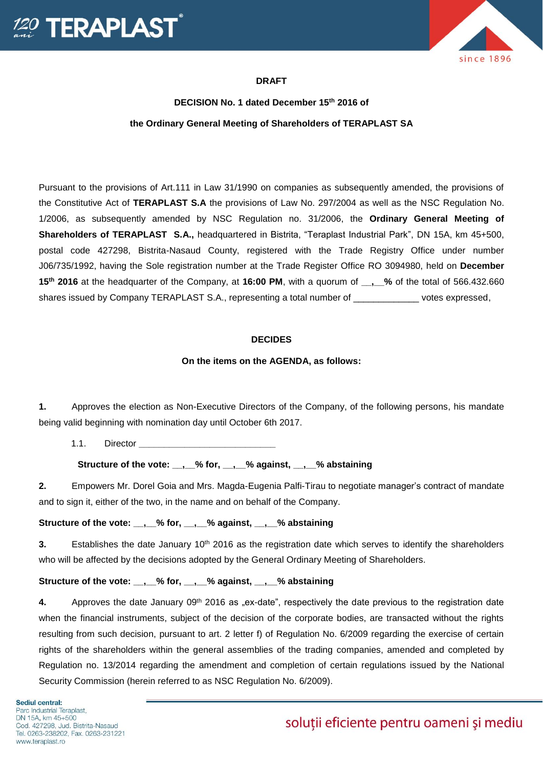



# **DRAFT**

# **DECISION No. 1 dated December 15th 2016 of the Ordinary General Meeting of Shareholders of TERAPLAST SA**

Pursuant to the provisions of Art.111 in Law 31/1990 on companies as subsequently amended, the provisions of the Constitutive Act of **TERAPLAST S.A** the provisions of Law No. 297/2004 as well as the NSC Regulation No. 1/2006, as subsequently amended by NSC Regulation no. 31/2006, the **Ordinary General Meeting of Shareholders of TERAPLAST S.A.,** headquartered in Bistrita, "Teraplast Industrial Park", DN 15A, km 45+500, postal code 427298, Bistrita-Nasaud County, registered with the Trade Registry Office under number J06/735/1992, having the Sole registration number at the Trade Register Office RO 3094980, held on **December 15th 2016** at the headquarter of the Company, at **16:00 PM**, with a quorum of **\_\_,\_\_%** of the total of 566.432.660 shares issued by Company TERAPLAST S.A., representing a total number of \_\_\_\_\_\_\_\_\_\_\_\_\_\_\_ votes expressed,

#### **DECIDES**

#### **On the items on the AGENDA, as follows:**

**1.** Approves the election as Non-Executive Directors of the Company, of the following persons, his mandate being valid beginning with nomination day until October 6th 2017.

1.1. Director **\_\_\_\_\_\_\_\_\_\_\_\_\_\_\_\_\_\_\_\_\_\_\_\_\_\_\_**

**Structure of the vote: \_\_,\_\_% for, \_\_,\_\_% against, \_\_,\_\_% abstaining**

**2.** Empowers Mr. Dorel Goia and Mrs. Magda-Eugenia Palfi-Tirau to negotiate manager's contract of mandate and to sign it, either of the two, in the name and on behalf of the Company.

**Structure of the vote: \_\_,\_\_% for, \_\_,\_\_% against, \_\_,\_\_% abstaining**

**3.** Establishes the date January 10<sup>th</sup> 2016 as the registration date which serves to identify the shareholders who will be affected by the decisions adopted by the General Ordinary Meeting of Shareholders.

### Structure of the vote: , % for, , % against, , % abstaining

4. Approves the date January 09<sup>th</sup> 2016 as "ex-date", respectively the date previous to the registration date when the financial instruments, subject of the decision of the corporate bodies, are transacted without the rights resulting from such decision, pursuant to art. 2 letter f) of Regulation No. 6/2009 regarding the exercise of certain rights of the shareholders within the general assemblies of the trading companies, amended and completed by Regulation no. 13/2014 regarding the amendment and completion of certain regulations issued by the National Security Commission (herein referred to as NSC Regulation No. 6/2009).